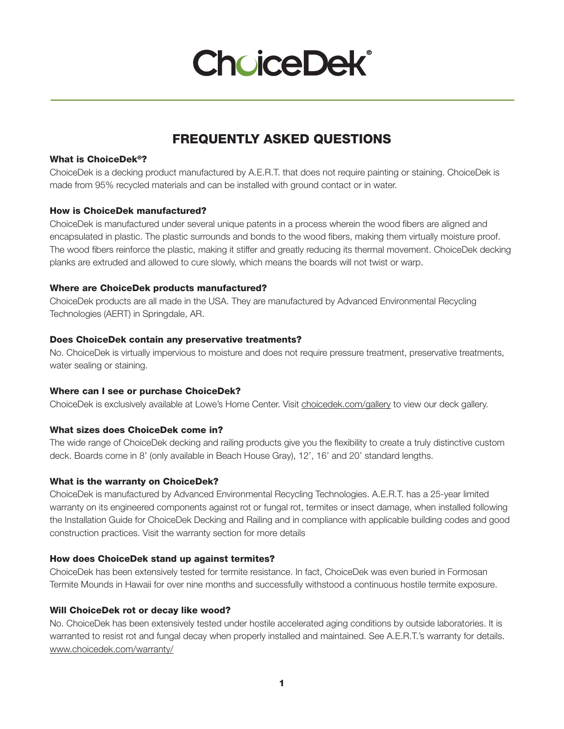## **ChoiceDek®**

### FREQUENTLY ASKED QUESTIONS

#### What is ChoiceDek®?

ChoiceDek is a decking product manufactured by A.E.R.T. that does not require painting or staining. ChoiceDek is made from 95% recycled materials and can be installed with ground contact or in water.

#### How is ChoiceDek manufactured?

ChoiceDek is manufactured under several unique patents in a process wherein the wood fibers are aligned and encapsulated in plastic. The plastic surrounds and bonds to the wood fibers, making them virtually moisture proof. The wood fibers reinforce the plastic, making it stiffer and greatly reducing its thermal movement. ChoiceDek decking planks are extruded and allowed to cure slowly, which means the boards will not twist or warp.

#### Where are ChoiceDek products manufactured?

ChoiceDek products are all made in the USA. They are manufactured by Advanced Environmental Recycling Technologies (AERT) in Springdale, AR.

#### Does ChoiceDek contain any preservative treatments?

No. ChoiceDek is virtually impervious to moisture and does not require pressure treatment, preservative treatments, water sealing or staining.

#### Where can I see or purchase ChoiceDek?

ChoiceDek is exclusively available at Lowe's Home Center. Visit choicedek.com/gallery to view our deck gallery.

#### What sizes does ChoiceDek come in?

The wide range of ChoiceDek decking and railing products give you the flexibility to create a truly distinctive custom deck. Boards come in 8' (only available in Beach House Gray), 12', 16' and 20' standard lengths.

#### What is the warranty on ChoiceDek?

ChoiceDek is manufactured by Advanced Environmental Recycling Technologies. A.E.R.T. has a 25-year limited warranty on its engineered components against rot or fungal rot, termites or insect damage, when installed following the Installation Guide for ChoiceDek Decking and Railing and in compliance with applicable building codes and good construction practices. Visit the warranty section for more details

#### How does ChoiceDek stand up against termites?

ChoiceDek has been extensively tested for termite resistance. In fact, ChoiceDek was even buried in Formosan Termite Mounds in Hawaii for over nine months and successfully withstood a continuous hostile termite exposure.

#### Will ChoiceDek rot or decay like wood?

No. ChoiceDek has been extensively tested under hostile accelerated aging conditions by outside laboratories. It is warranted to resist rot and fungal decay when properly installed and maintained. See A.E.R.T.'s warranty for details. www.choicedek.com/warranty/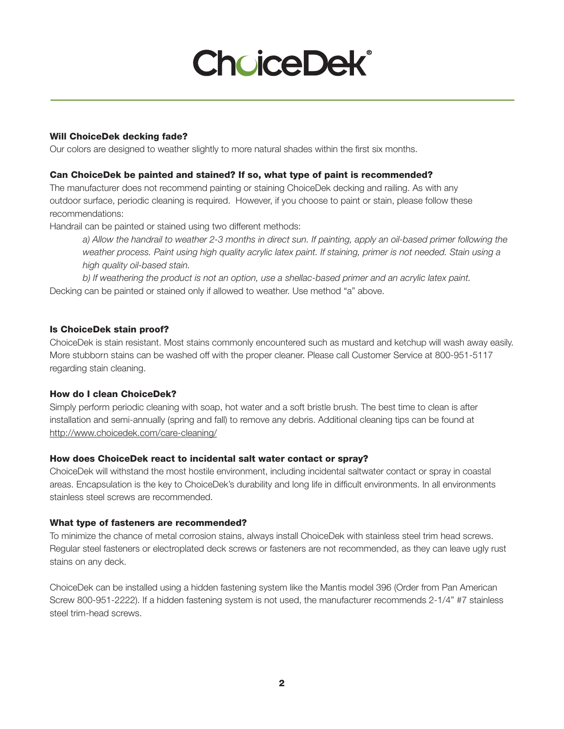# **ChoiceDek®**

#### Will ChoiceDek decking fade?

Our colors are designed to weather slightly to more natural shades within the first six months.

#### Can ChoiceDek be painted and stained? If so, what type of paint is recommended?

The manufacturer does not recommend painting or staining ChoiceDek decking and railing. As with any outdoor surface, periodic cleaning is required. However, if you choose to paint or stain, please follow these recommendations:

Handrail can be painted or stained using two different methods:

*a) Allow the handrail to weather 2-3 months in direct sun. If painting, apply an oil-based primer following the*  weather process. Paint using high quality acrylic latex paint. If staining, primer is not needed. Stain using a *high quality oil-based stain.*

*b) If weathering the product is not an option, use a shellac-based primer and an acrylic latex paint.*  Decking can be painted or stained only if allowed to weather. Use method "a" above.

#### Is ChoiceDek stain proof?

ChoiceDek is stain resistant. Most stains commonly encountered such as mustard and ketchup will wash away easily. More stubborn stains can be washed off with the proper cleaner. Please call Customer Service at 800-951-5117 regarding stain cleaning.

#### How do I clean ChoiceDek?

Simply perform periodic cleaning with soap, hot water and a soft bristle brush. The best time to clean is after installation and semi-annually (spring and fall) to remove any debris. Additional cleaning tips can be found at http://www.choicedek.com/care-cleaning/

#### How does ChoiceDek react to incidental salt water contact or spray?

ChoiceDek will withstand the most hostile environment, including incidental saltwater contact or spray in coastal areas. Encapsulation is the key to ChoiceDek's durability and long life in difficult environments. In all environments stainless steel screws are recommended.

#### What type of fasteners are recommended?

To minimize the chance of metal corrosion stains, always install ChoiceDek with stainless steel trim head screws. Regular steel fasteners or electroplated deck screws or fasteners are not recommended, as they can leave ugly rust stains on any deck.

ChoiceDek can be installed using a hidden fastening system like the Mantis model 396 (Order from Pan American Screw 800-951-2222). If a hidden fastening system is not used, the manufacturer recommends 2-1/4" #7 stainless steel trim-head screws.